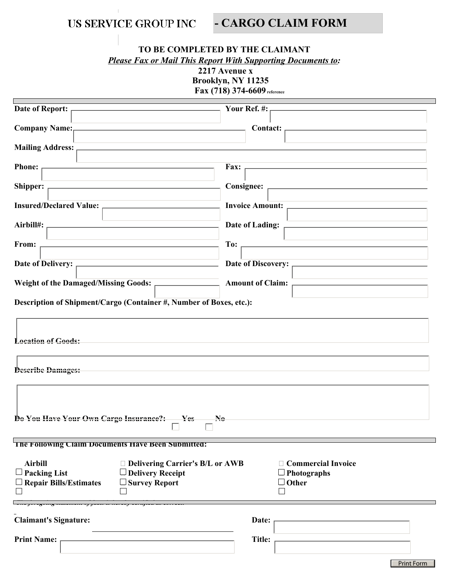|                                                                                                                                                                               |                                                              |                      | US SERVICE GROUP INC                                              |                         | - CARGO CLAIM FORM                                              |  |  |
|-------------------------------------------------------------------------------------------------------------------------------------------------------------------------------|--------------------------------------------------------------|----------------------|-------------------------------------------------------------------|-------------------------|-----------------------------------------------------------------|--|--|
| TO BE COMPLETED BY THE CLAIMANT<br><b>Please Fax or Mail This Report With Supporting Documents to:</b><br>2217 Avenue x<br>Brooklyn, NY 11235<br>Fax (718) 374-6609 reference |                                                              |                      |                                                                   |                         |                                                                 |  |  |
| <b>Date of Report:</b>                                                                                                                                                        |                                                              |                      |                                                                   | Your Ref. #:            |                                                                 |  |  |
| <b>Company Name:</b>                                                                                                                                                          |                                                              |                      | <u> 1980 - Johann Barn, amerikansk politiker (</u>                |                         | <b>Contact:</b>                                                 |  |  |
| <b>Mailing Address:</b>                                                                                                                                                       |                                                              |                      |                                                                   |                         |                                                                 |  |  |
|                                                                                                                                                                               |                                                              |                      |                                                                   |                         |                                                                 |  |  |
| <b>Phone:</b>                                                                                                                                                                 |                                                              |                      |                                                                   | Fax:                    |                                                                 |  |  |
| Shipper:<br>the control of the control of the control of the control of                                                                                                       |                                                              |                      |                                                                   |                         | <b>Consignee:</b>                                               |  |  |
| <b>Insured/Declared Value:</b>                                                                                                                                                |                                                              |                      |                                                                   |                         | <b>Invoice Amount:</b>                                          |  |  |
| Airbill#:                                                                                                                                                                     |                                                              |                      |                                                                   | Date of Lading:         |                                                                 |  |  |
| From:                                                                                                                                                                         |                                                              |                      |                                                                   | To:                     |                                                                 |  |  |
| <b>Date of Delivery:</b>                                                                                                                                                      |                                                              |                      |                                                                   |                         | Date of Discovery:                                              |  |  |
| <b>Weight of the Damaged/Missing Goods:</b>                                                                                                                                   |                                                              |                      |                                                                   | <b>Amount of Claim:</b> |                                                                 |  |  |
|                                                                                                                                                                               |                                                              |                      |                                                                   |                         |                                                                 |  |  |
| Description of Shipment/Cargo (Container #, Number of Boxes, etc.):                                                                                                           |                                                              |                      |                                                                   |                         |                                                                 |  |  |
| <b>Location of Goods:</b>                                                                                                                                                     |                                                              |                      |                                                                   |                         |                                                                 |  |  |
| <b>Describe Damages:</b>                                                                                                                                                      |                                                              |                      |                                                                   |                         |                                                                 |  |  |
|                                                                                                                                                                               |                                                              |                      |                                                                   |                         |                                                                 |  |  |
|                                                                                                                                                                               |                                                              |                      |                                                                   |                         |                                                                 |  |  |
| Do You Have Your Own Cargo Insurance?:<br>$-$ Yes<br>$\mathbf{N_0}$                                                                                                           |                                                              |                      |                                                                   |                         |                                                                 |  |  |
|                                                                                                                                                                               |                                                              |                      | The Following Claim Documents Have Been Submitted:                |                         |                                                                 |  |  |
| <b>Airbill</b><br>$\Box$ Packing List                                                                                                                                         | $\Box$ Repair Bills/Estimates                                | $\Box$ Survey Report | $\Box$ Delivering Carrier's B/L or AWB<br>$\Box$ Delivery Receipt |                         | $\Box$ Commercial Invoice<br>$\Box$ Photographs<br>$\Box$ Other |  |  |
| <b>Claimant's Signature:</b>                                                                                                                                                  | ne joregoing suitement of juew to nereof certificu us corret |                      |                                                                   |                         | Date:                                                           |  |  |
|                                                                                                                                                                               |                                                              |                      |                                                                   |                         |                                                                 |  |  |
| <b>Print Name:</b>                                                                                                                                                            |                                                              |                      |                                                                   |                         | Title:                                                          |  |  |